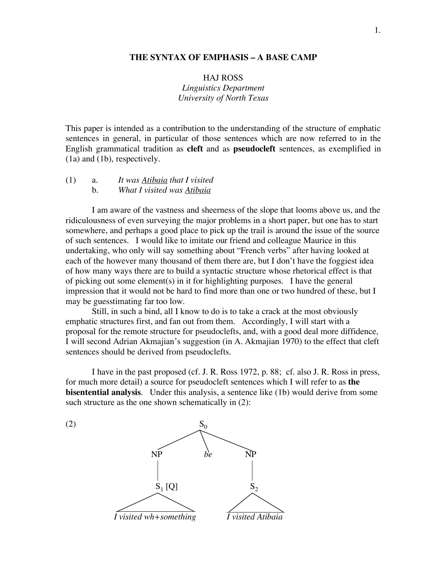# **THE SYNTAX OF EMPHASIS – A BASE CAMP**

HAJ ROSS *Linguistics Department University of North Texas*

This paper is intended as a contribution to the understanding of the structure of emphatic sentences in general, in particular of those sentences which are now referred to in the English grammatical tradition as **cleft** and as **pseudocleft** sentences, as exemplified in (1a) and (1b), respectively.

(1) a. *It was Atibaia that I visited* b. *What I visited was Atibaia*

I am aware of the vastness and sheerness of the slope that looms above us, and the ridiculousness of even surveying the major problems in a short paper, but one has to start somewhere, and perhaps a good place to pick up the trail is around the issue of the source of such sentences. I would like to imitate our friend and colleague Maurice in this undertaking, who only will say something about "French verbs" after having looked at each of the however many thousand of them there are, but I don't have the foggiest idea of how many ways there are to build a syntactic structure whose rhetorical effect is that of picking out some element(s) in it for highlighting purposes. I have the general impression that it would not be hard to find more than one or two hundred of these, but I may be guesstimating far too low.

Still, in such a bind, all I know to do is to take a crack at the most obviously emphatic structures first, and fan out from them. Accordingly, I will start with a proposal for the remote structure for pseudoclefts, and, with a good deal more diffidence, I will second Adrian Akmajian's suggestion (in A. Akmajian 1970) to the effect that cleft sentences should be derived from pseudoclefts.

I have in the past proposed (cf. J. R. Ross 1972, p. 88; cf. also J. R. Ross in press, for much more detail) a source for pseudocleft sentences which I will refer to as **the bisentential analysis.** Under this analysis, a sentence like (1b) would derive from some such structure as the one shown schematically in  $(2)$ :

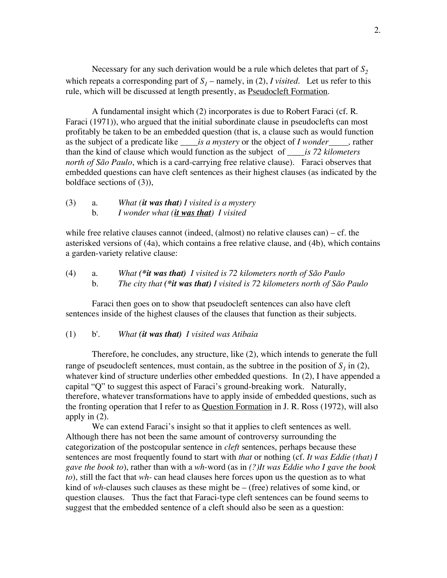Necessary for any such derivation would be a rule which deletes that part of  $S_2$ which repeats a corresponding part of  $S_1$  – namely, in (2), *I* visited. Let us refer to this rule, which will be discussed at length presently, as **Pseudocleft Formation**.

A fundamental insight which (2) incorporates is due to Robert Faraci (cf. R. Faraci (1971)), who argued that the initial subordinate clause in pseudoclefts can most profitably be taken to be an embedded question (that is, a clause such as would function as the subject of a predicate like *\_\_\_\_is a mystery* or the object of *I wonder ,* rather than the kind of clause which would function as the subject of \_\_\_\_*is 72 kilometers north of São Paulo*, which is a card-carrying free relative clause). Faraci observes that embedded questions can have cleft sentences as their highest clauses (as indicated by the boldface sections of (3)),

# (3) a. *What (it was that) I visited is a mystery* b. *I wonder what (it was that) I visited*

while free relative clauses cannot (indeed, (almost) no relative clauses can) – cf. the asterisked versions of (4a), which contains a free relative clause, and (4b), which contains a garden-variety relative clause:

(4) a. *What (\*it was that) I visited is 72 kilometers north of São Paulo* b*. The city that (\*it was that) I visited is 72 kilometers north of São Paulo*

Faraci then goes on to show that pseudocleft sentences can also have cleft sentences inside of the highest clauses of the clauses that function as their subjects.

### (1) b'. *What (it was that) I visited was Atibaia*

Therefore, he concludes, any structure, like (2), which intends to generate the full range of pseudocleft sentences, must contain, as the subtree in the position of  $S_1$  in (2), whatever kind of structure underlies other embedded questions. In (2), I have appended a capital "Q" to suggest this aspect of Faraci's ground-breaking work. Naturally, therefore, whatever transformations have to apply inside of embedded questions, such as the fronting operation that I refer to as Question Formation in J. R. Ross (1972), will also apply in (2).

We can extend Faraci's insight so that it applies to cleft sentences as well. Although there has not been the same amount of controversy surrounding the categorization of the postcopular sentence in *cleft* sentences, perhaps because these sentences are most frequently found to start with *that* or nothing (cf*. It was Eddie (that) I gave the book to*), rather than with a *wh*-word (as in *(?)It was Eddie who I gave the book to*), still the fact that *wh*- can head clauses here forces upon us the question as to what kind of *wh*-clauses such clauses as these might be – (free) relatives of some kind, or question clauses. Thus the fact that Faraci-type cleft sentences can be found seems to suggest that the embedded sentence of a cleft should also be seen as a question: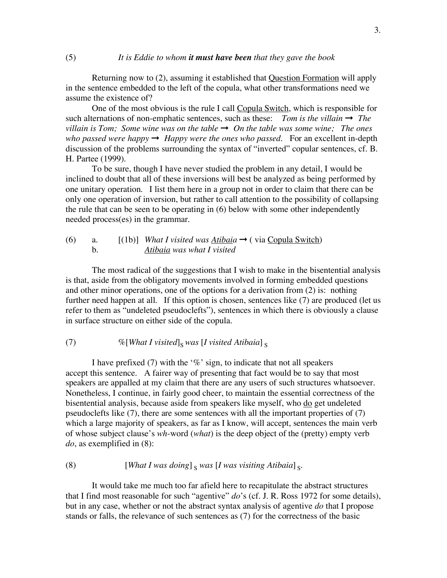Returning now to (2), assuming it established that Question Formation will apply in the sentence embedded to the left of the copula, what other transformations need we assume the existence of?

One of the most obvious is the rule I call Copula Switch, which is responsible for such alternations of non-emphatic sentences, such as these: *Tom is the villain*  $\rightarrow$  *The villain is Tom; Some wine was on the table*  $\rightarrow$  *On the table was some wine; The ones who passed were happy*  $\rightarrow$  *Happy were the ones who passed.* For an excellent in-depth discussion of the problems surrounding the syntax of "inverted" copular sentences, cf. B. H. Partee (1999).

To be sure, though I have never studied the problem in any detail, I would be inclined to doubt that all of these inversions will best be analyzed as being performed by one unitary operation. I list them here in a group not in order to claim that there can be only one operation of inversion, but rather to call attention to the possibility of collapsing the rule that can be seen to be operating in (6) below with some other independently needed process(es) in the grammar.

# (6) a.  $[(1b)]$  *What I visited was <u>Atibaia</u>*  $\rightarrow$  (via Copula Switch) b. *Atibaia was what I visited*

The most radical of the suggestions that I wish to make in the bisentential analysis is that, aside from the obligatory movements involved in forming embedded questions and other minor operations, one of the options for a derivation from (2) is: nothing further need happen at all. If this option is chosen, sentences like (7) are produced (let us refer to them as "undeleted pseudoclefts"), sentences in which there is obviously a clause in surface structure on either side of the copula.

## (7)  $\%$  [*What I visited*]<sub>S</sub> *was* [*I visited Atibaia*]  $\frac{1}{2}$

I have prefixed (7) with the ' $\%$ ' sign, to indicate that not all speakers accept this sentence. A fairer way of presenting that fact would be to say that most speakers are appalled at my claim that there are any users of such structures whatsoever. Nonetheless, I continue, in fairly good cheer, to maintain the essential correctness of the bisentential analysis, because aside from speakers like myself, who do get undeleted pseudoclefts like (7), there are some sentences with all the important properties of (7) which a large majority of speakers, as far as I know, will accept, sentences the main verb of whose subject clause's *wh*-word (*what*) is the deep object of the (pretty) empty verb *do*, as exemplified in (8):

# (8)  $[What I was doing]_{S} was [I was visiting Atibaia]_{S}$ .

It would take me much too far afield here to recapitulate the abstract structures that I find most reasonable for such "agentive" *do*'s (cf. J. R. Ross 1972 for some details), but in any case, whether or not the abstract syntax analysis of agentive *do* that I propose stands or falls, the relevance of such sentences as (7) for the correctness of the basic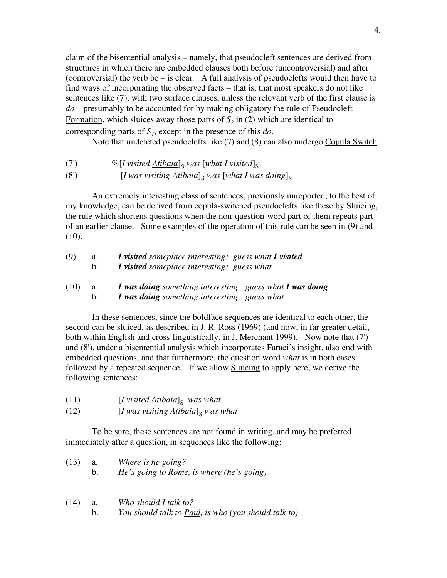claim of the bisentential analysis – namely, that pseudocleft sentences are derived from structures in which there are embedded clauses both before (uncontroversial) and after (controversial) the verb be – is clear. A full analysis of pseudoclefts would then have to find ways of incorporating the observed facts – that is, that most speakers do not like sentences like (7), with two surface clauses, unless the relevant verb of the first clause is *do* – presumably to be accounted for by making obligatory the rule of Pseudocleft Formation, which sluices away those parts of  $S_2$  in (2) which are identical to corresponding parts of  $S<sub>1</sub>$ , except in the presence of this *do*.

Note that undeleted pseudoclefts like (7) and (8) can also undergo Copula Switch:

- (7)  $\%$  [*I* visited  $\frac{\text{Atibaia}}{\text{s}}$  *was* [what *I* visited]<sub>S</sub>
- (8')  $[I$  *was visiting Atibaia*]<sub>S</sub> *was* [*what*  $I$  *was doing*]<sub>s</sub>

An extremely interesting class of sentences, previously unreported, to the best of my knowledge, can be derived from copula-switched pseudoclefts like these by Sluicing, the rule which shortens questions when the non-question-word part of them repeats part of an earlier clause. Some examples of the operation of this rule can be seen in (9) and (10).

| (9)  | a. | <i>I</i> visited someplace interesting: guess what <i>I</i> visited |
|------|----|---------------------------------------------------------------------|
|      | b. | I visited someplace interesting: guess what                         |
| (10) | a. | I was doing something interesting: guess what I was doing           |
|      | b. | I was doing something interesting: guess what                       |

In these sentences, since the boldface sequences are identical to each other, the second can be sluiced, as described in J. R. Ross (1969) (and now, in far greater detail, both within English and cross-linguistically, in J. Merchant 1999). Now note that (7') and (8'), under a bisentential analysis which incorporates Faraci's insight, also end with embedded questions, and that furthermore, the question word *what* is in both cases followed by a repeated sequence. If we allow **Sluicing** to apply here, we derive the following sentences:

- $(11)$   $[I$  *visited*  $\underline{A}$ *tibaia*]<sub>S</sub> *was what*
- $(12)$  [*I* was *visiting Atibaia*]<sub>S</sub> was what

To be sure, these sentences are not found in writing, and may be preferred immediately after a question, in sequences like the following:

| (13) | Where is he going?                               |
|------|--------------------------------------------------|
|      | <i>He's going to Rome, is where (he's going)</i> |

| (14) | Who should I talk to?                                        |
|------|--------------------------------------------------------------|
|      | You should talk to <b>Paul</b> , is who (you should talk to) |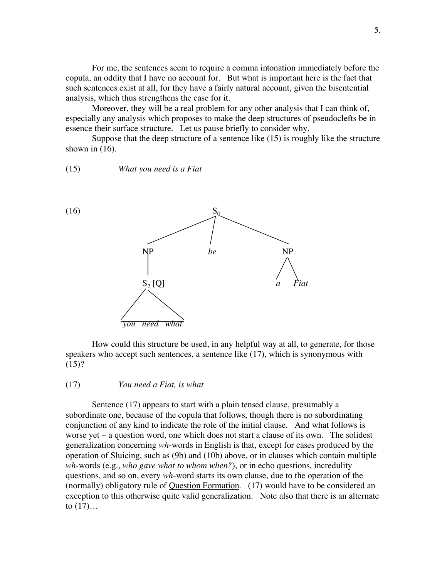For me, the sentences seem to require a comma intonation immediately before the copula, an oddity that I have no account for. But what is important here is the fact that such sentences exist at all, for they have a fairly natural account, given the bisentential analysis, which thus strengthens the case for it.

Moreover, they will be a real problem for any other analysis that I can think of, especially any analysis which proposes to make the deep structures of pseudoclefts be in essence their surface structure. Let us pause briefly to consider why.

Suppose that the deep structure of a sentence like (15) is roughly like the structure shown in  $(16)$ .

(15) *What you need is a Fiat*



How could this structure be used, in any helpful way at all, to generate, for those speakers who accept such sentences, a sentence like (17), which is synonymous with  $(15)?$ 

#### (17) *You need a Fiat, is what*

Sentence (17) appears to start with a plain tensed clause, presumably a subordinate one, because of the copula that follows, though there is no subordinating conjunction of any kind to indicate the role of the initial clause. And what follows is worse yet – a question word, one which does not start a clause of its own. The solidest generalization concerning *wh*-words in English is that, except for cases produced by the operation of Sluicing, such as (9b) and (10b) above, or in clauses which contain multiple *wh*-words (e.g., *who gave what to whom when?*), or in echo questions, incredulity questions, and so on, every *wh*-word starts its own clause, due to the operation of the (normally) obligatory rule of Question Formation. (17) would have to be considered an exception to this otherwise quite valid generalization. Note also that there is an alternate to  $(17)$ ...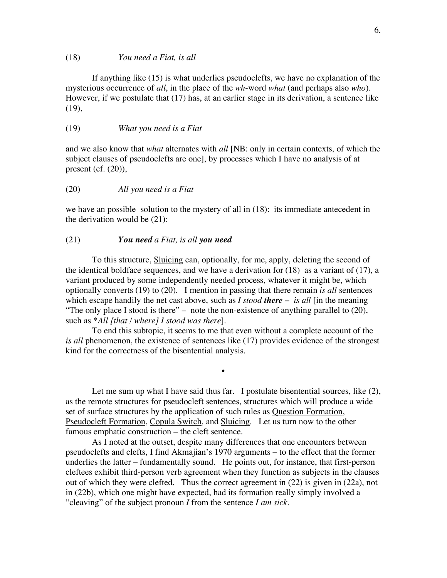#### (18) *You need a Fiat, is all*

If anything like (15) is what underlies pseudoclefts, we have no explanation of the mysterious occurrence of *all*, in the place of the *wh*-word *what* (and perhaps also *who*). However, if we postulate that (17) has, at an earlier stage in its derivation, a sentence like (19),

### (19) *What you need is a Fiat*

and we also know that *what* alternates with *all* [NB: only in certain contexts, of which the subject clauses of pseudoclefts are one], by processes which I have no analysis of at present (cf.  $(20)$ ),

### (20) *All you need is a Fiat*

we have an possible solution to the mystery of all in  $(18)$ : its immediate antecedent in the derivation would be (21):

#### (21) *You need a Fiat, is all you need*

To this structure, Sluicing can, optionally, for me, apply, deleting the second of the identical boldface sequences, and we have a derivation for (18) as a variant of (17), a variant produced by some independently needed process, whatever it might be, which optionally converts (19) to (20). I mention in passing that there remain *is all* sentences which escape handily the net cast above, such as *I stood there – is all* [in the meaning "The only place I stood is there" – note the non-existence of anything parallel to  $(20)$ , such as \**All [that / where] I stood was there*].

To end this subtopic, it seems to me that even without a complete account of the *is all* phenomenon, the existence of sentences like (17) provides evidence of the strongest kind for the correctness of the bisentential analysis.

•

Let me sum up what I have said thus far. I postulate bisentential sources, like  $(2)$ , as the remote structures for pseudocleft sentences, structures which will produce a wide set of surface structures by the application of such rules as Question Formation, Pseudocleft Formation, Copula Switch, and Sluicing. Let us turn now to the other famous emphatic construction – the cleft sentence.

As I noted at the outset, despite many differences that one encounters between pseudoclefts and clefts, I find Akmajian's 1970 arguments – to the effect that the former underlies the latter – fundamentally sound. He points out, for instance, that first-person cleftees exhibit third-person verb agreement when they function as subjects in the clauses out of which they were clefted. Thus the correct agreement in (22) is given in (22a), not in (22b), which one might have expected, had its formation really simply involved a "cleaving" of the subject pronoun *I* from the sentence *I am sick.*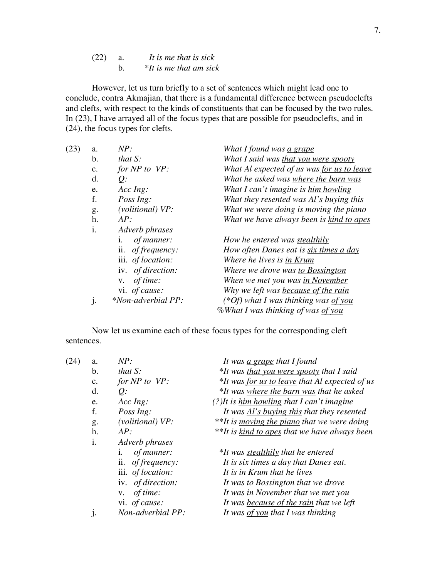(22) a. *It is me that is sick* b. *\*It is me that am sick*

However, let us turn briefly to a set of sentences which might lead one to conclude, contra Akmajian, that there is a fundamental difference between pseudoclefts and clefts, with respect to the kinds of constituents that can be focused by the two rules. In (23), I have arrayed all of the focus types that are possible for pseudoclefts, and in (24), the focus types for clefts.

| (23) | a.             | NP:                | What I found was a grape                    |
|------|----------------|--------------------|---------------------------------------------|
|      | $\mathbf{b}$ . | that $S$ :         | What I said was that you were spooty        |
|      | c.             | for $NP$ to $VP$ : | What Al expected of us was for us to leave  |
|      | d.             | $Q$ :              | What he asked was where the barn was        |
|      | e.             | $Acc$ Ing:         | What I can't imagine is him howling         |
|      | f.             | Poss Ing:          | What they resented was Al's buying this     |
|      | g.             | (volitional) VP:   | What we were doing is moving the piano      |
|      | h.             | AP:                | What we have always been is kind to apes    |
|      | $\mathbf{i}$ . | Adverb phrases     |                                             |
|      |                | of manner:<br>1.   | How he entered was stealthily               |
|      |                | ii. of frequency:  | How often Danes eat is six times a day      |
|      |                | iii. of location:  | Where he lives is in Krum                   |
|      |                | iv. of direction:  | Where we drove was to Bossington            |
|      |                | of time:<br>V.     | When we met you was in November             |
|      |                | vi. of cause:      | Why we left was because of the rain         |
|      | j.             | *Non-adverbial PP: | (*Of) what I was thinking was <u>of you</u> |
|      |                |                    | %What I was thinking of was of you          |
|      |                |                    |                                             |

Now let us examine each of these focus types for the corresponding cleft sentences.

| (24) | a. | NP:                       | It was <u>a grape</u> that I found                   |
|------|----|---------------------------|------------------------------------------------------|
|      | b. | that $S$ :                | *It was that you were spooty that I said             |
|      | c. | for $NP$ to $VP$ :        | *It was for us to leave that Al expected of us       |
|      | d. | $Q$ :                     | *It was where the barn was that he asked             |
|      | e. | $Acc$ Ing:                | (?) It is him howling that I can't imagine           |
|      | f. | Poss Ing:                 | It was <u>Al's buying this</u> that they resented    |
|      | g. | (volitional) VP:          | **It is <i>moving the piano</i> that we were doing   |
|      | h. | AP:                       | **It is <u>kind to apes</u> that we have always been |
|      | i. | Adverb phrases            |                                                      |
|      |    | of manner:<br>1.          | *It was <b>stealthily</b> that he entered            |
|      |    | ii. <i>of frequency:</i>  | It is six times a day that Danes eat.                |
|      |    | iii. of location:         | It is in Krum that he lives                          |
|      |    | iv. <i>of direction</i> : | It was <u>to Bossington</u> that we drove            |
|      |    | of time:<br>V.            | It was in November that we met you                   |
|      |    | vi. of cause:             | It was <b>because</b> of the rain that we left       |
|      | j. | Non-adverbial PP:         | It was of you that I was thinking                    |
|      |    |                           |                                                      |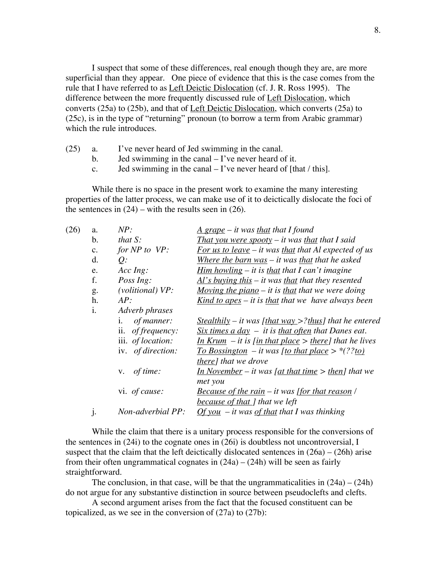I suspect that some of these differences, real enough though they are, are more superficial than they appear. One piece of evidence that this is the case comes from the rule that I have referred to as Left Deictic Dislocation (cf. J. R. Ross 1995). The difference between the more frequently discussed rule of Left Dislocation, which converts (25a) to (25b), and that of Left Deictic Dislocation, which converts (25a) to (25c), is in the type of "returning" pronoun (to borrow a term from Arabic grammar) which the rule introduces.

- (25) a. I've never heard of Jed swimming in the canal.
	- b. Jed swimming in the canal I've never heard of it.
	- c. Jed swimming in the canal  $-I'$  ve never heard of [that / this].

While there is no space in the present work to examine the many interesting properties of the latter process, we can make use of it to deictically dislocate the foci of the sentences in  $(24)$  – with the results seen in  $(26)$ .

| (26) | a. | NP:                       | $\frac{A \, \text{grape} - it \, \text{was that I found}}{A \, \text{gauge}}$                           |
|------|----|---------------------------|---------------------------------------------------------------------------------------------------------|
|      | b. | <i>that</i> $S$ :         | <u>That you were spooty</u> – it was <u>that</u> that I said                                            |
|      | c. | for $NP$ to $VP$ :        | <u>For us to leave</u> – it was that that Al expected of us                                             |
|      | d. | $Q$ :                     | Where the barn was $-$ it was that that he asked                                                        |
|      | e. | $Acc$ Ing:                | <u>Him howling</u> $-$ it is that that I can't imagine                                                  |
|      | f. | Poss Ing:                 | $Al's$ buying this – it was that that they resented                                                     |
|      | g. | (volitional) VP:          | Moving the piano $-$ it is that that we were doing                                                      |
|      | h. | AP:                       | <u>Kind to apes</u> $-$ it is that that we have always been                                             |
|      | i. | Adverb phrases            |                                                                                                         |
|      |    | of manner:<br>i.          | <u>Stealthily</u> – it was [that way >?thus] that he entered                                            |
|      |    | ii. <i>of frequency</i> : | $Six \ times \ a \ day - it \ is \ that \ often \ that \ Danes \ eat.$                                  |
|      |    | iii. of location:         | <u>In Krum</u> – it is [in that place > there] that he lives                                            |
|      |    | iv. <i>of direction</i> : | <u>To Bossington</u> – it was [to that place > $*(??to)$                                                |
|      |    |                           | there] that we drove                                                                                    |
|      |    | v. $of$ time:             | <u>In November</u> – it was [ <u>at that time</u> > <u>then</u> ] that we                               |
|      |    |                           | met you                                                                                                 |
|      |    | vi. of cause:             | <b>Because of the rain – it was [for that reason</b> /                                                  |
|      |    |                           | because of that ] that we left                                                                          |
|      | j. | Non-adverbial PP:         | $\frac{Of \, \text{you}}{Of \, \text{you}}$ – it was $\frac{of \, \text{that}}{of}$ that I was thinking |
|      |    |                           |                                                                                                         |

While the claim that there is a unitary process responsible for the conversions of the sentences in (24i) to the cognate ones in (26i) is doubtless not uncontroversial, I suspect that the claim that the left deictically dislocated sentences in  $(26a) - (26h)$  arise from their often ungrammatical cognates in  $(24a) - (24h)$  will be seen as fairly straightforward.

The conclusion, in that case, will be that the ungrammaticalities in  $(24a) - (24h)$ do not argue for any substantive distinction in source between pseudoclefts and clefts.

A second argument arises from the fact that the focused constituent can be topicalized, as we see in the conversion of (27a) to (27b):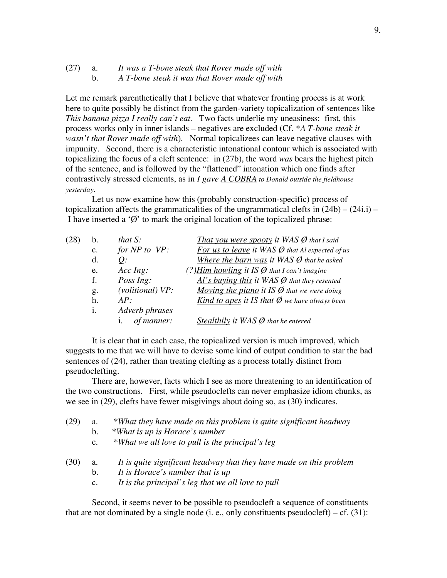### (27) a. *It was a T-bone steak that Rover made off with* b. *A T-bone steak it was that Rover made off with*

Let me remark parenthetically that I believe that whatever fronting process is at work here to quite possibly be distinct from the garden-variety topicalization of sentences like *This banana pizza I really can't eat*. Two facts underlie my uneasiness: first, this process works only in inner islands – negatives are excluded (Cf. *\*A T-bone steak it wasn't that Rover made off with*). Normal topicalizees can leave negative clauses with impunity. Second, there is a characteristic intonational contour which is associated with topicalizing the focus of a cleft sentence: in (27b), the word *was* bears the highest pitch of the sentence, and is followed by the "flattened" intonation which one finds after contrastively stressed elements, as in *I gave A COBRA to Donald outside the fieldhouse yesterday*.

Let us now examine how this (probably construction-specific) process of topicalization affects the grammaticalities of the ungrammatical clefts in  $(24b) - (24i. i)$  – I have inserted a ' $\emptyset$ ' to mark the original location of the topicalized phrase:

| (28) | h.             | that $S$ :         | <b>That you were spooty it WAS <math>\emptyset</math> that I said</b>       |
|------|----------------|--------------------|-----------------------------------------------------------------------------|
|      | $\mathbf{c}$ . | for $NP$ to $VP$ : | <b>For us to leave it WAS <math>\emptyset</math> that Al expected of us</b> |
|      | d.             | $Q$ :              | Where the barn was it WAS $\emptyset$ that he asked                         |
|      | e.             | $Acc$ $Ing$ :      | (?) Him howling it IS $\emptyset$ that I can't imagine                      |
|      | f.             | Poss Ing:          | $Al's$ buying this it WAS $\emptyset$ that they resented                    |
|      | g.             | (volitional) VP:   | <u>Moving the piano</u> it IS $\emptyset$ that we were doing                |
|      | h.             | AP:                | <u>Kind to apes</u> it IS that $\emptyset$ we have always been              |
|      | i.             | Adverb phrases     |                                                                             |
|      |                | of manner:<br>1.   | Stealthily it WAS $\emptyset$ that he entered                               |

It is clear that in each case, the topicalized version is much improved, which suggests to me that we will have to devise some kind of output condition to star the bad sentences of (24), rather than treating clefting as a process totally distinct from pseudoclefting.

There are, however, facts which I see as more threatening to an identification of the two constructions. First, while pseudoclefts can never emphasize idiom chunks, as we see in (29), clefts have fewer misgivings about doing so, as (30) indicates.

| (29) | a.             | *What they have made on this problem is quite significant headway   |
|------|----------------|---------------------------------------------------------------------|
|      | b.             | *What is up is Horace's number                                      |
|      | $\mathbf{c}$ . | *What we all love to pull is the principal's leg                    |
| (30) | a.             | It is quite significant headway that they have made on this problem |
|      | $b_{\cdot}$    | It is Horace's number that is up                                    |
|      | $\mathbf{c}$ . | It is the principal's leg that we all love to pull                  |

Second, it seems never to be possible to pseudocleft a sequence of constituents that are not dominated by a single node (i. e., only constituents pseudocleft) – cf.  $(31)$ :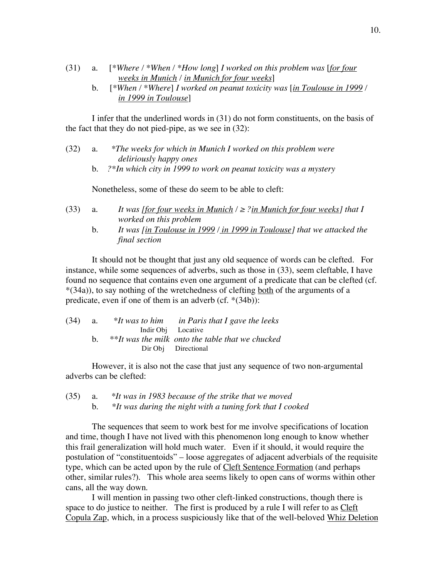- (31) a. [*\*Where / \*When / \*How long*] *I worked on this problem was* [*for four weeks in Munich / in Munich for four weeks*]
	- b. [*\*When / \*Where*] *I worked on peanut toxicity was* [*in Toulouse in 1999 / in 1999 in Toulouse*]

I infer that the underlined words in (31) do not form constituents, on the basis of the fact that they do not pied-pipe, as we see in (32):

| (32) | *The weeks for which in Munich I worked on this problem were |
|------|--------------------------------------------------------------|
|      | <i>deliriously happy ones</i>                                |

b. *?\*In which city in 1999 to work on peanut toxicity was a mystery*

Nonetheless, some of these do seem to be able to cleft:

- (33) a. *It* was *for four weeks in Munich*  $/ \geq 2$  *in Munich for four weeks I that I worked on this problem*
	- b. *It was [in Toulouse in 1999 / in 1999 in Toulouse] that we attacked the final section*

It should not be thought that just any old sequence of words can be clefted. For instance, while some sequences of adverbs, such as those in (33), seem cleftable, I have found no sequence that contains even one argument of a predicate that can be clefted (cf. \*(34a)), to say nothing of the wretchedness of clefting both of the arguments of a predicate, even if one of them is an adverb (cf. \*(34b)):

| (34) | <b>a.</b> |                    | $*$ It was to him in Paris that I gave the leeks   |  |
|------|-----------|--------------------|----------------------------------------------------|--|
|      |           | Indir Obj Locative |                                                    |  |
|      |           |                    | $*$ It was the milk onto the table that we chucked |  |
|      |           |                    | Dir Obj Directional                                |  |
|      |           |                    |                                                    |  |

However, it is also not the case that just any sequence of two non-argumental adverbs can be clefted:

(35) a. *\*It was in 1983 because of the strike that we moved* b. *\*It was during the night with a tuning fork that I cooked*

The sequences that seem to work best for me involve specifications of location and time, though I have not lived with this phenomenon long enough to know whether this frail generalization will hold much water. Even if it should, it would require the postulation of "constituentoids" – loose aggregates of adjacent adverbials of the requisite type, which can be acted upon by the rule of Cleft Sentence Formation (and perhaps other, similar rules?). This whole area seems likely to open cans of worms within other cans, all the way down.

I will mention in passing two other cleft-linked constructions, though there is space to do justice to neither. The first is produced by a rule I will refer to as Cleft Copula Zap, which, in a process suspiciously like that of the well-beloved Whiz Deletion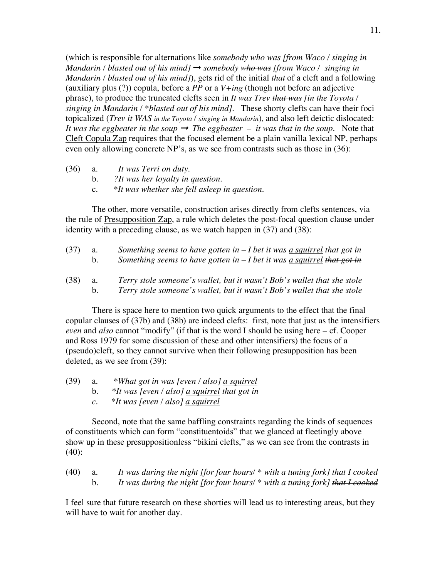(which is responsible for alternations like *somebody who was [from Waco / singing in Mandarin / blasted out of his mind]* ➞ *somebody who was [from Waco / singing in Mandarin / blasted out of his mind]*), gets rid of the initial *that* of a cleft and a following (auxiliary plus  $(?)$ ) copula, before a *PP* or a  $V+ing$  (though not before an adjective phrase), to produce the truncated clefts seen in *It was Trev that was [in the Toyota / singing in Mandarin / \*blasted out of his mind].* These shorty clefts can have their foci topicalized (*Trev it WAS in the Toyota / singing in Mandarin*), and also left deictic dislocated: *It* was <u>the eggbeater</u> in the soup  $\rightarrow$  *The eggbeater* – *it* was that in the soup. Note that Cleft Copula Zap requires that the focused element be a plain vanilla lexical NP, perhaps even only allowing concrete NP's, as we see from contrasts such as those in (36):

- (36) a. *It was Terri on duty.*
	- b. *?It was her loyalty in question.*
	- c. *\*It was whether she fell asleep in question.*

The other, more versatile, construction arises directly from clefts sentences, via the rule of Presupposition Zap, a rule which deletes the post-focal question clause under identity with a preceding clause, as we watch happen in (37) and (38):

| (37) | а.<br>b.  | Something seems to have gotten in $-I$ bet it was a squirrel that got in<br>Something seems to have gotten in $-I$ bet it was <u>a squirrel</u> that got in |
|------|-----------|-------------------------------------------------------------------------------------------------------------------------------------------------------------|
| (38) | <b>a.</b> | Terry stole someone's wallet, but it wasn't Bob's wallet that she stole                                                                                     |

b. *Terry stole someone's wallet, but it wasn't Bob's wallet that she stole*

There is space here to mention two quick arguments to the effect that the final copular clauses of (37b) and (38b) are indeed clefts: first, note that just as the intensifiers *even* and *also* cannot "modify" (if that is the word I should be using here – cf. Cooper and Ross 1979 for some discussion of these and other intensifiers) the focus of a (pseudo)cleft, so they cannot survive when their following presupposition has been deleted, as we see from (39):

- (39) a. *\*What got in was [even / also] a squirrel*
	- b. *\*It was [even / also] a squirrel that got in*
		- *c. \*It was [even / also] a squirrel*

Second, note that the same baffling constraints regarding the kinds of sequences of constituents which can form "constituentoids" that we glanced at fleetingly above show up in these presuppositionless "bikini clefts," as we can see from the contrasts in (40):

(40) a. *It was during the night [for four hours/ \* with a tuning fork] that I cooked* b. *It was during the night [for four hours/ \* with a tuning fork] that I cooked*

I feel sure that future research on these shorties will lead us to interesting areas, but they will have to wait for another day.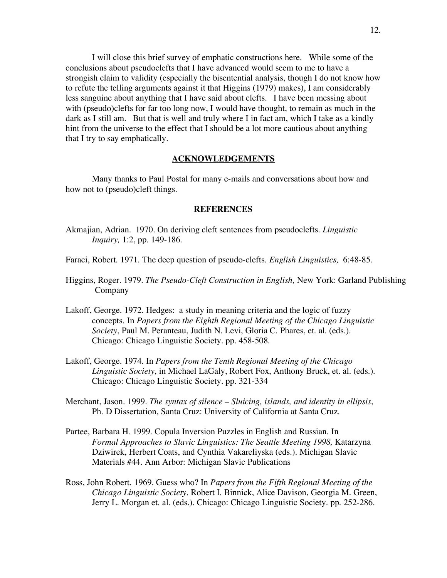I will close this brief survey of emphatic constructions here. While some of the conclusions about pseudoclefts that I have advanced would seem to me to have a strongish claim to validity (especially the bisentential analysis, though I do not know how to refute the telling arguments against it that Higgins (1979) makes), I am considerably less sanguine about anything that I have said about clefts. I have been messing about with (pseudo)clefts for far too long now, I would have thought, to remain as much in the dark as I still am. But that is well and truly where I in fact am, which I take as a kindly hint from the universe to the effect that I should be a lot more cautious about anything that I try to say emphatically.

# **ACKNOWLEDGEMENTS**

Many thanks to Paul Postal for many e-mails and conversations about how and how not to (pseudo)cleft things.

# **REFERENCES**

- Akmajian, Adrian. 1970. On deriving cleft sentences from pseudoclefts. *Linguistic Inquiry,* 1:2, pp. 149-186.
- Faraci, Robert. 1971. The deep question of pseudo-clefts. *English Linguistics,* 6:48-85.
- Higgins, Roger. 1979. *The Pseudo-Cleft Construction in English,* New York: Garland Publishing Company
- Lakoff, George. 1972. Hedges: a study in meaning criteria and the logic of fuzzy concepts. In *Papers from the Eighth Regional Meeting of the Chicago Linguistic Society*, Paul M. Peranteau, Judith N. Levi, Gloria C. Phares, et. al. (eds.). Chicago: Chicago Linguistic Society. pp. 458-508.
- Lakoff, George. 1974. In *Papers from the Tenth Regional Meeting of the Chicago Linguistic Society*, in Michael LaGaly, Robert Fox, Anthony Bruck, et. al. (eds.). Chicago: Chicago Linguistic Society. pp. 321-334
- Merchant, Jason. 1999. *The syntax of silence – Sluicing, islands, and identity in ellipsis*, Ph. D Dissertation, Santa Cruz: University of California at Santa Cruz.
- Partee, Barbara H. 1999. Copula Inversion Puzzles in English and Russian*.* In *Formal Approaches to Slavic Linguistics: The Seattle Meeting 1998,* Katarzyna Dziwirek, Herbert Coats, and Cynthia Vakareliyska (eds.). Michigan Slavic Materials #44. Ann Arbor: Michigan Slavic Publications
- Ross, John Robert. 1969. Guess who? In *Papers from the Fifth Regional Meeting of the Chicago Linguistic Society*, Robert I. Binnick, Alice Davison, Georgia M. Green, Jerry L. Morgan et. al. (eds.). Chicago: Chicago Linguistic Society. pp. 252-286.